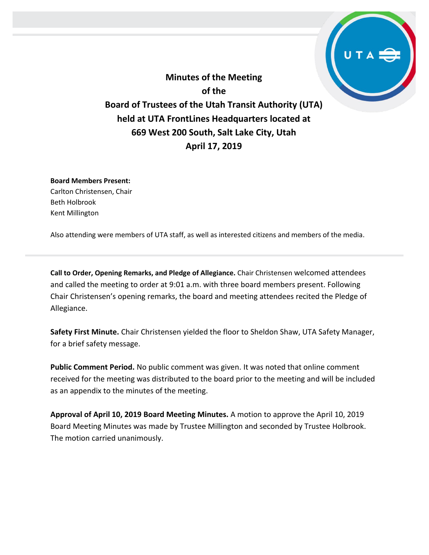**Minutes of the Meeting of the Board of Trustees of the Utah Transit Authority (UTA) held at UTA FrontLines Headquarters located at 669 West 200 South, Salt Lake City, Utah April 17, 2019**

**Board Members Present:** Carlton Christensen, Chair Beth Holbrook Kent Millington

Also attending were members of UTA staff, as well as interested citizens and members of the media.

**Call to Order, Opening Remarks, and Pledge of Allegiance.** Chair Christensen welcomed attendees and called the meeting to order at 9:01 a.m. with three board members present. Following Chair Christensen's opening remarks, the board and meeting attendees recited the Pledge of Allegiance.

**Safety First Minute.** Chair Christensen yielded the floor to Sheldon Shaw, UTA Safety Manager, for a brief safety message.

**Public Comment Period.** No public comment was given. It was noted that online comment received for the meeting was distributed to the board prior to the meeting and will be included as an appendix to the minutes of the meeting.

**Approval of April 10, 2019 Board Meeting Minutes.** A motion to approve the April 10, 2019 Board Meeting Minutes was made by Trustee Millington and seconded by Trustee Holbrook. The motion carried unanimously.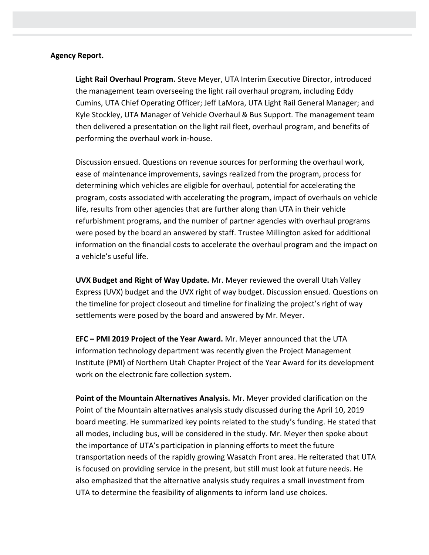#### **Agency Report.**

**Light Rail Overhaul Program.** Steve Meyer, UTA Interim Executive Director, introduced the management team overseeing the light rail overhaul program, including Eddy Cumins, UTA Chief Operating Officer; Jeff LaMora, UTA Light Rail General Manager; and Kyle Stockley, UTA Manager of Vehicle Overhaul & Bus Support. The management team then delivered a presentation on the light rail fleet, overhaul program, and benefits of performing the overhaul work in-house.

Discussion ensued. Questions on revenue sources for performing the overhaul work, ease of maintenance improvements, savings realized from the program, process for determining which vehicles are eligible for overhaul, potential for accelerating the program, costs associated with accelerating the program, impact of overhauls on vehicle life, results from other agencies that are further along than UTA in their vehicle refurbishment programs, and the number of partner agencies with overhaul programs were posed by the board an answered by staff. Trustee Millington asked for additional information on the financial costs to accelerate the overhaul program and the impact on a vehicle's useful life.

**UVX Budget and Right of Way Update.** Mr. Meyer reviewed the overall Utah Valley Express (UVX) budget and the UVX right of way budget. Discussion ensued. Questions on the timeline for project closeout and timeline for finalizing the project's right of way settlements were posed by the board and answered by Mr. Meyer.

**EFC – PMI 2019 Project of the Year Award.** Mr. Meyer announced that the UTA information technology department was recently given the Project Management Institute (PMI) of Northern Utah Chapter Project of the Year Award for its development work on the electronic fare collection system.

**Point of the Mountain Alternatives Analysis.** Mr. Meyer provided clarification on the Point of the Mountain alternatives analysis study discussed during the April 10, 2019 board meeting. He summarized key points related to the study's funding. He stated that all modes, including bus, will be considered in the study. Mr. Meyer then spoke about the importance of UTA's participation in planning efforts to meet the future transportation needs of the rapidly growing Wasatch Front area. He reiterated that UTA is focused on providing service in the present, but still must look at future needs. He also emphasized that the alternative analysis study requires a small investment from UTA to determine the feasibility of alignments to inform land use choices.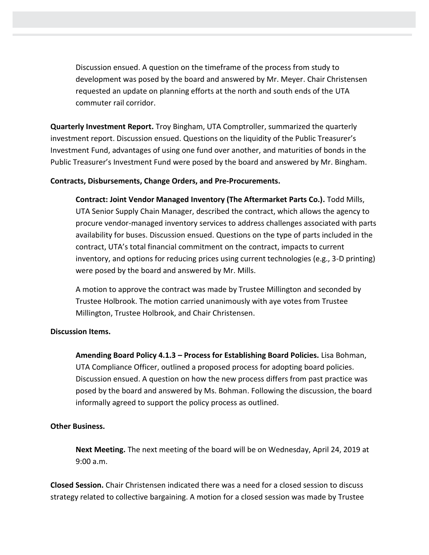Discussion ensued. A question on the timeframe of the process from study to development was posed by the board and answered by Mr. Meyer. Chair Christensen requested an update on planning efforts at the north and south ends of the UTA commuter rail corridor.

**Quarterly Investment Report.** Troy Bingham, UTA Comptroller, summarized the quarterly investment report. Discussion ensued. Questions on the liquidity of the Public Treasurer's Investment Fund, advantages of using one fund over another, and maturities of bonds in the Public Treasurer's Investment Fund were posed by the board and answered by Mr. Bingham.

### **Contracts, Disbursements, Change Orders, and Pre-Procurements.**

**Contract: Joint Vendor Managed Inventory (The Aftermarket Parts Co.).** Todd Mills, UTA Senior Supply Chain Manager, described the contract, which allows the agency to procure vendor-managed inventory services to address challenges associated with parts availability for buses. Discussion ensued. Questions on the type of parts included in the contract, UTA's total financial commitment on the contract, impacts to current inventory, and options for reducing prices using current technologies (e.g., 3-D printing) were posed by the board and answered by Mr. Mills.

A motion to approve the contract was made by Trustee Millington and seconded by Trustee Holbrook. The motion carried unanimously with aye votes from Trustee Millington, Trustee Holbrook, and Chair Christensen.

#### **Discussion Items.**

**Amending Board Policy 4.1.3 – Process for Establishing Board Policies.** Lisa Bohman, UTA Compliance Officer, outlined a proposed process for adopting board policies. Discussion ensued. A question on how the new process differs from past practice was posed by the board and answered by Ms. Bohman. Following the discussion, the board informally agreed to support the policy process as outlined.

#### **Other Business.**

**Next Meeting.** The next meeting of the board will be on Wednesday, April 24, 2019 at 9:00 a.m.

**Closed Session.** Chair Christensen indicated there was a need for a closed session to discuss strategy related to collective bargaining. A motion for a closed session was made by Trustee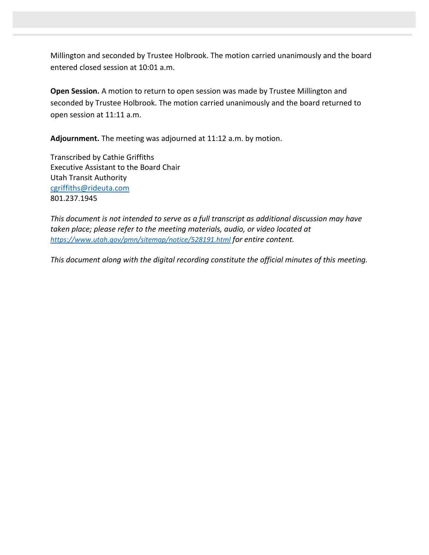Millington and seconded by Trustee Holbrook. The motion carried unanimously and the board entered closed session at 10:01 a.m.

**Open Session.** A motion to return to open session was made by Trustee Millington and seconded by Trustee Holbrook. The motion carried unanimously and the board returned to open session at 11:11 a.m.

**Adjournment.** The meeting was adjourned at 11:12 a.m. by motion.

Transcribed by Cathie Griffiths Executive Assistant to the Board Chair Utah Transit Authority [cgriffiths@rideuta.com](mailto:cgriffiths@rideuta.com) 801.237.1945

*This document is not intended to serve as a full transcript as additional discussion may have taken place; please refer to the meeting materials, audio, or video located at <https://www.utah.gov/pmn/sitemap/notice/528191.html> for entire content.*

*This document along with the digital recording constitute the official minutes of this meeting.*